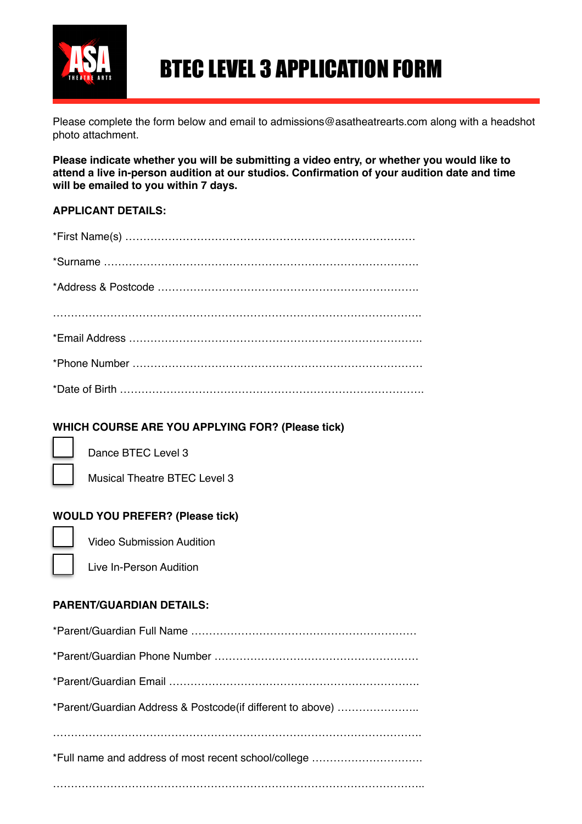

# BTEC LEVEL 3 APPLICATION FORM

Please complete the form below and email to admissions@asatheatrearts.com along with a headshot photo attachment.

**Please indicate whether you will be submitting a video entry, or whether you would like to attend a live in-person audition at our studios. Confirmation of your audition date and time will be emailed to you within 7 days.**

#### **APPLICANT DETAILS:**

## **WHICH COURSE ARE YOU APPLYING FOR? (Please tick)**



Dance BTEC Level 3

Musical Theatre BTEC Level 3

## **WOULD YOU PREFER? (Please tick)**

| -- |  |  |
|----|--|--|
|    |  |  |

Ē  $\overline{\phantom{0}}$ 

Video Submission Audition

Live In-Person Audition

#### **PARENT/GUARDIAN DETAILS:**

| *Parent/Guardian Address & Postcode(if different to above) |
|------------------------------------------------------------|
|                                                            |
| *Full name and address of most recent school/college       |
|                                                            |